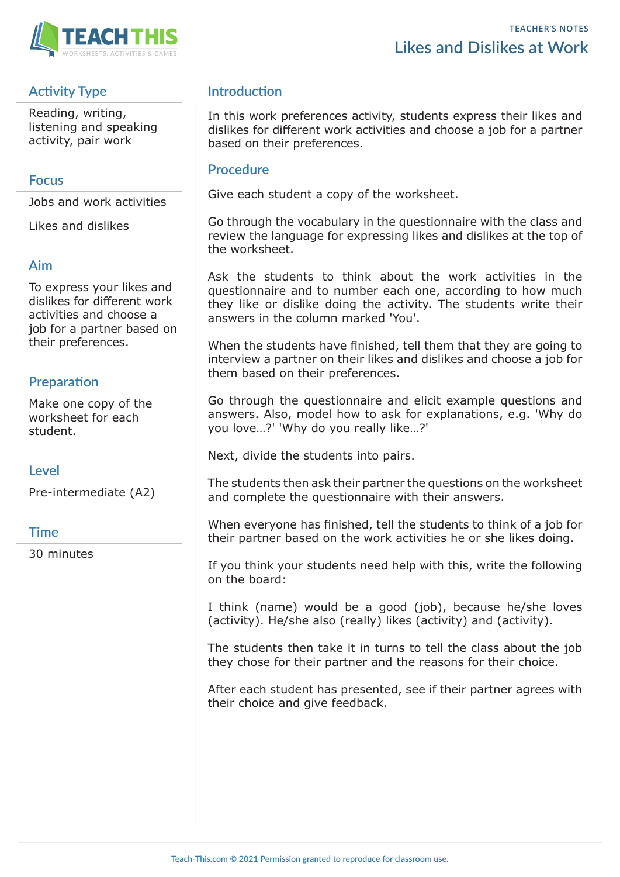

# **Activity Type**

Reading, writing, listening and speaking activity, pair work

#### **Focus**

Jobs and work activities

Likes and dislikes

### **Aim**

To express your likes and dislikes for different work activities and choose a job for a partner based on their preferences.

# **Preparation**

Make one copy of the worksheet for each student.

#### **Level**

Pre-intermediate (A2)

#### **Time**

30 minutes

## **Introduction**

In this work preferences activity, students express their likes and dislikes for different work activities and choose a job for a partner based on their preferences.

#### **Procedure**

Give each student a copy of the worksheet.

Go through the vocabulary in the questionnaire with the class and review the language for expressing likes and dislikes at the top of the worksheet.

Ask the students to think about the work activities in the questionnaire and to number each one, according to how much they like or dislike doing the activity. The students write their answers in the column marked 'You'.

When the students have finished, tell them that they are going to interview a partner on their likes and dislikes and choose a job for them based on their preferences.

Go through the questionnaire and elicit example questions and answers. Also, model how to ask for explanations, e.g. 'Why do you love…?' 'Why do you really like…?'

Next, divide the students into pairs.

The students then ask their partner the questions on the worksheet and complete the questionnaire with their answers.

When everyone has finished, tell the students to think of a job for their partner based on the work activities he or she likes doing.

If you think your students need help with this, write the following on the board:

I think (name) would be a good (job), because he/she loves (activity). He/she also (really) likes (activity) and (activity).

The students then take it in turns to tell the class about the job they chose for their partner and the reasons for their choice.

After each student has presented, see if their partner agrees with their choice and give feedback.